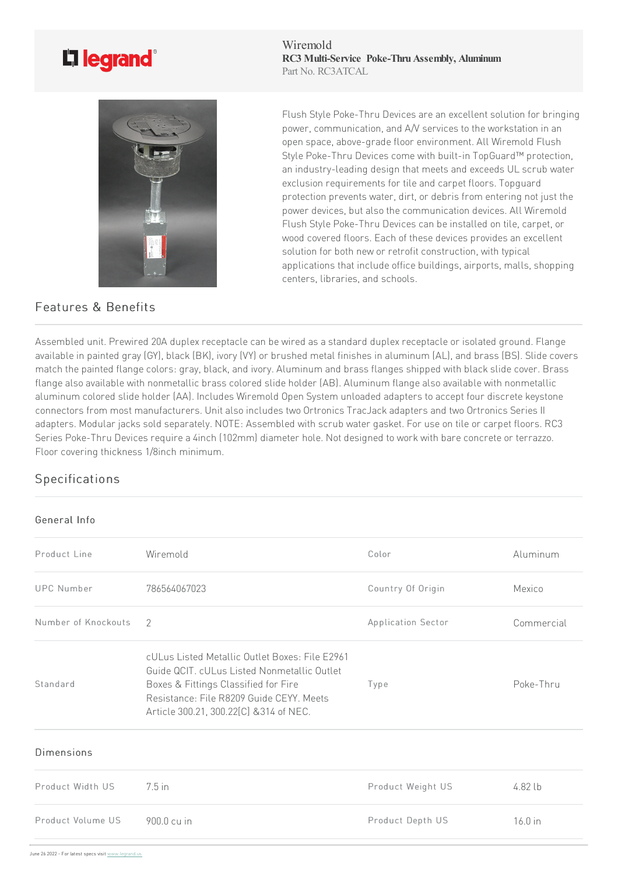## L<sub>legrand</sub>



## Features & Benefits

Wiremold **RC3 Multi-Service Poke-Thru Assembly, Aluminum** Part No. RC3ATCAL

Flush Style Poke-Thru Devices are an excellent solution for bringing power, communication, and A/V services to the workstation in an open space, above-grade floor environment. All Wiremold Flush Style Poke-Thru Devices come with built-in TopGuard™ protection, an industry-leading design that meets and exceeds UL scrub water exclusion requirements for tile and carpet floors. Topguard protection prevents water, dirt, or debris from entering not just the power devices, but also the communication devices. All Wiremold Flush Style Poke-Thru Devices can be installed on tile, carpet, or wood covered floors. Each of these devices provides an excellent solution for both new or retrofit construction, with typical applications that include office buildings, airports, malls, shopping centers, libraries, and schools.

Assembled unit. Prewired 20A duplex receptacle can be wired as a standard duplex receptacle or isolated ground. Flange available in painted gray (GY), black (BK), ivory (VY) or brushed metal finishes in aluminum (AL), and brass (BS). Slide covers match the painted flange colors: gray, black, and ivory. Aluminum and brass flanges shipped with black slide cover. Brass flange also available with nonmetallic brass colored slide holder (AB). Aluminum flange also available with nonmetallic aluminum colored slide holder (AA). Includes Wiremold Open System unloaded adapters to accept four discrete keystone connectors from most manufacturers. Unit also includes two Ortronics TracJack adapters and two Ortronics Series II adapters. Modular jacks sold separately. NOTE: Assembled with scrub water gasket. For use on tile or carpet floors. RC3 Series Poke-Thru Devices require a 4inch (102mm) diameter hole. Not designed to work with bare concrete or terrazzo. Floor covering thickness 1/8inch minimum.

## Specifications

## General Info

| Product Line        | Wiremold                                                                                                                                                                                                                     | Color              | Aluminum   |
|---------------------|------------------------------------------------------------------------------------------------------------------------------------------------------------------------------------------------------------------------------|--------------------|------------|
| <b>UPC Number</b>   | 786564067023                                                                                                                                                                                                                 | Country Of Origin  | Mexico     |
| Number of Knockouts | $\mathcal{L}$                                                                                                                                                                                                                | Application Sector | Commercial |
| Standard            | cULus Listed Metallic Outlet Boxes: File E2961<br>Guide QCIT. cULus Listed Nonmetallic Outlet<br>Boxes & Fittings Classified for Fire<br>Resistance: File R8209 Guide CEYY. Meets<br>Article 300.21, 300.22[C] & 314 of NEC. | Type               | Poke-Thru  |
| <b>Dimensions</b>   |                                                                                                                                                                                                                              |                    |            |
| Product Width US    | $7.5$ in                                                                                                                                                                                                                     | Product Weight US  | 4.82 lb    |
| Product Volume US   | 900.0 cu in                                                                                                                                                                                                                  | Product Depth US   | 16.0 in    |
|                     |                                                                                                                                                                                                                              |                    |            |

June 26 2022 - For latest specs visit www.legrand.us